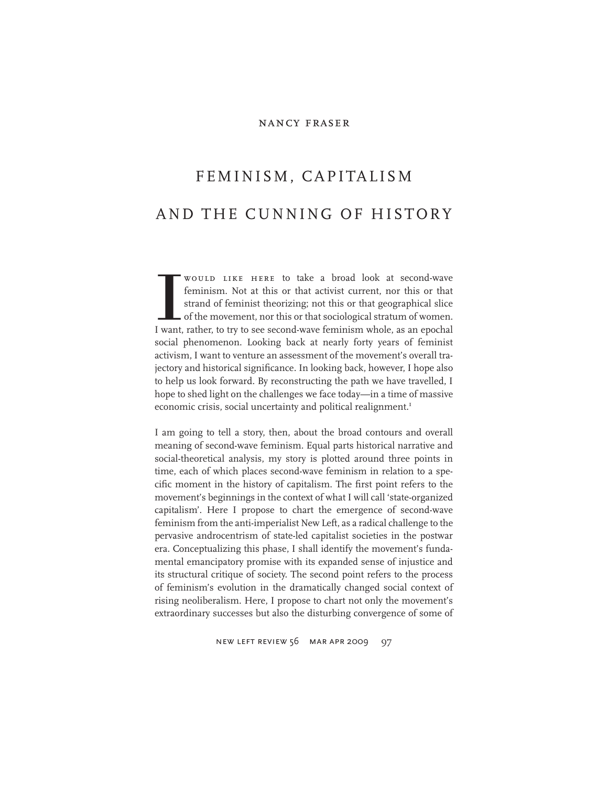# NANCY FRASER

# FEMINISM, CAPITALISM AND THE CUNNING OF HISTORY

WOULD LIKE HERE to take a broad look at second-wave feminism. Not at this or that activist current, nor this or that strand of feminist theorizing; not this or that geographical slice of the movement, nor this or that sociological stratum of women. I want, rather, to try to see second-wave feminism whole, as an epochal social phenomenon. Looking back at nearly forty years of feminist activism, I want to venture an assessment of the movement's overall trajectory and historical significance. In looking back, however, I hope also to help us look forward. By reconstructing the path we have travelled, I hope to shed light on the challenges we face today—in a time of massive economic crisis, social uncertainty and political realignment.<sup>1</sup>

I am going to tell a story, then, about the broad contours and overall meaning of second-wave feminism. Equal parts historical narrative and social-theoretical analysis, my story is plotted around three points in time, each of which places second-wave feminism in relation to a specific moment in the history of capitalism. The first point refers to the movement's beginnings in the context of what I will call 'state-organized capitalism'. Here I propose to chart the emergence of second-wave feminism from the anti-imperialist New Left, as a radical challenge to the pervasive androcentrism of state-led capitalist societies in the postwar era. Conceptualizing this phase, I shall identify the movement's fundamental emancipatory promise with its expanded sense of injustice and its structural critique of society. The second point refers to the process of feminism's evolution in the dramatically changed social context of rising neoliberalism. Here, I propose to chart not only the movement's extraordinary successes but also the disturbing convergence of some of

NEW LEFT REVIEW 56 MAR APR 2009 97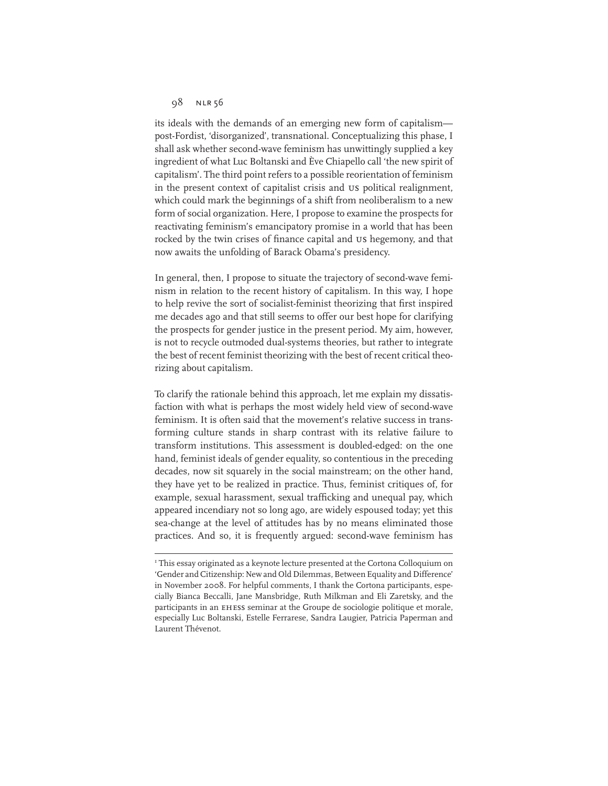#### $\Omega$ N LR 56

its ideals with the demands of an emerging new form of capitalismpost-Fordist, 'disorganized', transnational. Conceptualizing this phase, I shall ask whether second-wave feminism has unwittingly supplied a key ingredient of what Luc Boltanski and Ève Chiapello call 'the new spirit of capitalism'. The third point refers to a possible reorientation of feminism in the present context of capitalist crisis and US political realignment, which could mark the beginnings of a shift from neoliberalism to a new form of social organization. Here, I propose to examine the prospects for reactivating feminism's emancipatory promise in a world that has been rocked by the twin crises of finance capital and US hegemony, and that now awaits the unfolding of Barack Obama's presidency.

In general, then, I propose to situate the trajectory of second-wave feminism in relation to the recent history of capitalism. In this way, I hope to help revive the sort of socialist-feminist theorizing that first inspired me decades ago and that still seems to offer our best hope for clarifying the prospects for gender justice in the present period. My aim, however, is not to recycle outmoded dual-systems theories, but rather to integrate the best of recent feminist theorizing with the best of recent critical theorizing about capitalism.

To clarify the rationale behind this approach, let me explain my dissatisfaction with what is perhaps the most widely held view of second-wave feminism. It is often said that the movement's relative success in transforming culture stands in sharp contrast with its relative failure to transform institutions. This assessment is doubled-edged: on the one hand, feminist ideals of gender equality, so contentious in the preceding decades, now sit squarely in the social mainstream; on the other hand, they have yet to be realized in practice. Thus, feminist critiques of, for example, sexual harassment, sexual trafficking and unequal pay, which appeared incendiary not so long ago, are widely espoused today; yet this sea-change at the level of attitudes has by no means eliminated those practices. And so, it is frequently argued: second-wave feminism has

<sup>&</sup>lt;sup>1</sup> This essay originated as a keynote lecture presented at the Cortona Colloquium on 'Gender and Citizenship: New and Old Dilemmas, Between Equality and Difference' in November 2008. For helpful comments, I thank the Cortona participants, especially Bianca Beccalli, Jane Mansbridge, Ruth Milkman and Eli Zaretsky, and the participants in an EHESS seminar at the Groupe de sociologie politique et morale, especially Luc Boltanski, Estelle Ferrarese, Sandra Laugier, Patricia Paperman and Laurent Thévenot.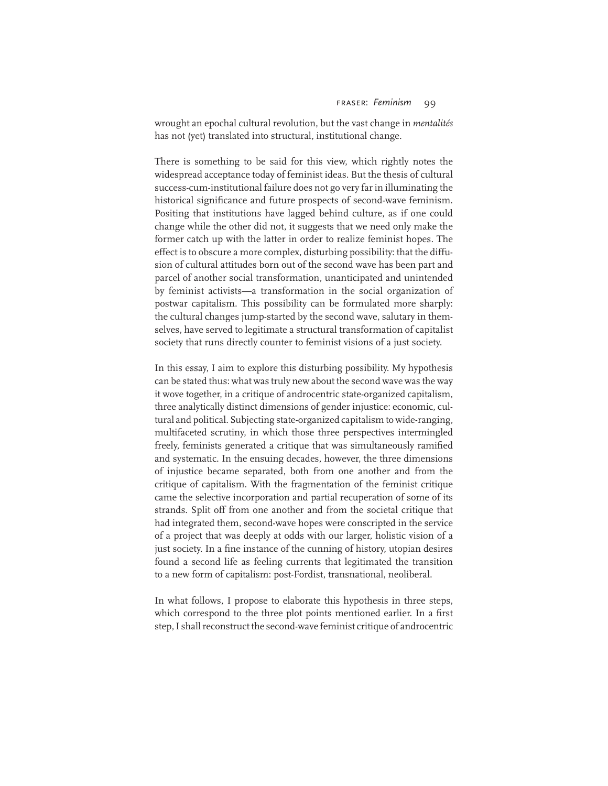wrought an epochal cultural revolution, but the vast change in mentalités has not (yet) translated into structural, institutional change.

There is something to be said for this view, which rightly notes the widespread acceptance today of feminist ideas. But the thesis of cultural success-cum-institutional failure does not go very far in illuminating the historical significance and future prospects of second-wave feminism. Positing that institutions have lagged behind culture, as if one could change while the other did not, it suggests that we need only make the former catch up with the latter in order to realize feminist hopes. The effect is to obscure a more complex, disturbing possibility: that the diffusion of cultural attitudes born out of the second wave has been part and parcel of another social transformation, unanticipated and unintended by feminist activists—a transformation in the social organization of postwar capitalism. This possibility can be formulated more sharply: the cultural changes jump-started by the second wave, salutary in themselves, have served to legitimate a structural transformation of capitalist society that runs directly counter to feminist visions of a just society.

In this essay, I aim to explore this disturbing possibility. My hypothesis can be stated thus: what was truly new about the second wave was the way it wove together, in a critique of androcentric state-organized capitalism, three analytically distinct dimensions of gender injustice: economic, cultural and political. Subjecting state-organized capitalism to wide-ranging, multifaceted scrutiny, in which those three perspectives intermingled freely, feminists generated a critique that was simultaneously ramified and systematic. In the ensuing decades, however, the three dimensions of injustice became separated, both from one another and from the critique of capitalism. With the fragmentation of the feminist critique came the selective incorporation and partial recuperation of some of its strands. Split off from one another and from the societal critique that had integrated them, second-wave hopes were conscripted in the service of a project that was deeply at odds with our larger, holistic vision of a just society. In a fine instance of the cunning of history, utopian desires found a second life as feeling currents that legitimated the transition to a new form of capitalism: post-Fordist, transnational, neoliberal.

In what follows, I propose to elaborate this hypothesis in three steps, which correspond to the three plot points mentioned earlier. In a first step, I shall reconstruct the second-wave feminist critique of androcentric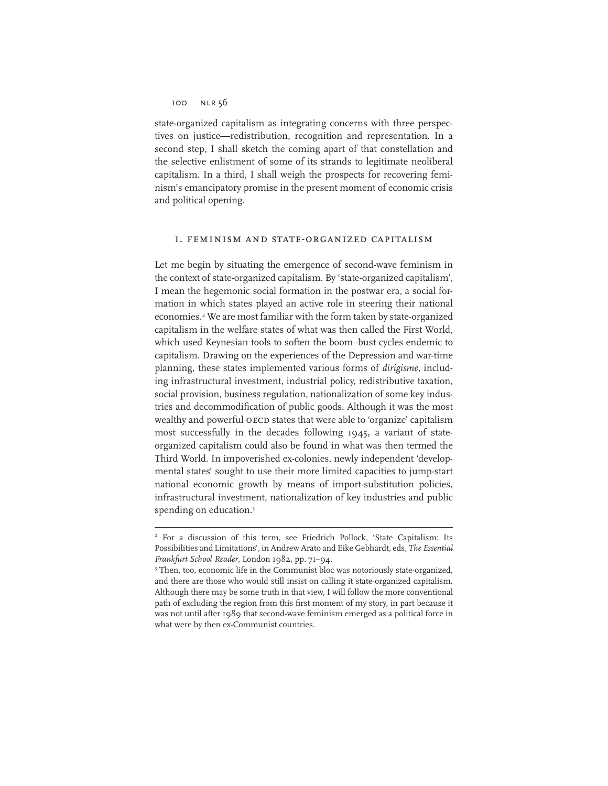**NLR 56 TOO** 

state-organized capitalism as integrating concerns with three perspectives on justice—redistribution, recognition and representation. In a second step, I shall sketch the coming apart of that constellation and the selective enlistment of some of its strands to legitimate neoliberal capitalism. In a third, I shall weigh the prospects for recovering feminism's emancipatory promise in the present moment of economic crisis and political opening.

## I. FEMINISM AND STATE-ORGANIZED CAPITALISM

Let me begin by situating the emergence of second-wave feminism in the context of state-organized capitalism. By 'state-organized capitalism', I mean the hegemonic social formation in the postwar era, a social formation in which states played an active role in steering their national economies.<sup>2</sup> We are most familiar with the form taken by state-organized capitalism in the welfare states of what was then called the First World, which used Keynesian tools to soften the boom-bust cycles endemic to capitalism. Drawing on the experiences of the Depression and war-time planning, these states implemented various forms of dirigisme, including infrastructural investment, industrial policy, redistributive taxation, social provision, business regulation, nationalization of some key industries and decommodification of public goods. Although it was the most wealthy and powerful OECD states that were able to 'organize' capitalism most successfully in the decades following 1945, a variant of stateorganized capitalism could also be found in what was then termed the Third World. In impoverished ex-colonies, newly independent 'developmental states' sought to use their more limited capacities to jump-start national economic growth by means of import-substitution policies, infrastructural investment, nationalization of key industries and public spending on education.<sup>3</sup>

<sup>&</sup>lt;sup>2</sup> For a discussion of this term, see Friedrich Pollock, 'State Capitalism: Its Possibilities and Limitations', in Andrew Arato and Eike Gebhardt, eds, The Essential Frankfurt School Reader, London 1982, pp. 71-94.

<sup>&</sup>lt;sup>3</sup> Then, too, economic life in the Communist bloc was notoriously state-organized, and there are those who would still insist on calling it state-organized capitalism. Although there may be some truth in that view, I will follow the more conventional path of excluding the region from this first moment of my story, in part because it was not until after 1989 that second-wave feminism emerged as a political force in what were by then ex-Communist countries.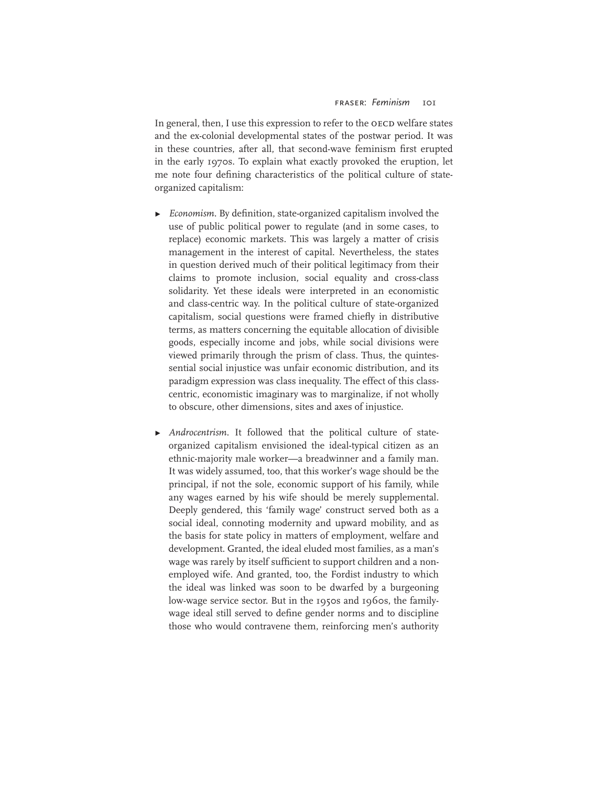In general, then, I use this expression to refer to the OECD welfare states and the ex-colonial developmental states of the postwar period. It was in these countries, after all, that second-wave feminism first erupted in the early 1970s. To explain what exactly provoked the eruption, let me note four defining characteristics of the political culture of stateorganized capitalism:

- Economism. By definition, state-organized capitalism involved the use of public political power to regulate (and in some cases, to replace) economic markets. This was largely a matter of crisis management in the interest of capital. Nevertheless, the states in question derived much of their political legitimacy from their claims to promote inclusion, social equality and cross-class solidarity. Yet these ideals were interpreted in an economistic and class-centric way. In the political culture of state-organized capitalism, social questions were framed chiefly in distributive terms, as matters concerning the equitable allocation of divisible goods, especially income and jobs, while social divisions were viewed primarily through the prism of class. Thus, the quintessential social injustice was unfair economic distribution, and its paradigm expression was class inequality. The effect of this classcentric, economistic imaginary was to marginalize, if not wholly to obscure, other dimensions, sites and axes of injustice.
- Androcentrism. It followed that the political culture of stateorganized capitalism envisioned the ideal-typical citizen as an ethnic-majority male worker-a breadwinner and a family man. It was widely assumed, too, that this worker's wage should be the principal, if not the sole, economic support of his family, while any wages earned by his wife should be merely supplemental. Deeply gendered, this 'family wage' construct served both as a social ideal, connoting modernity and upward mobility, and as the basis for state policy in matters of employment, welfare and development. Granted, the ideal eluded most families, as a man's wage was rarely by itself sufficient to support children and a nonemployed wife. And granted, too, the Fordist industry to which the ideal was linked was soon to be dwarfed by a burgeoning low-wage service sector. But in the 1950s and 1960s, the familywage ideal still served to define gender norms and to discipline those who would contravene them, reinforcing men's authority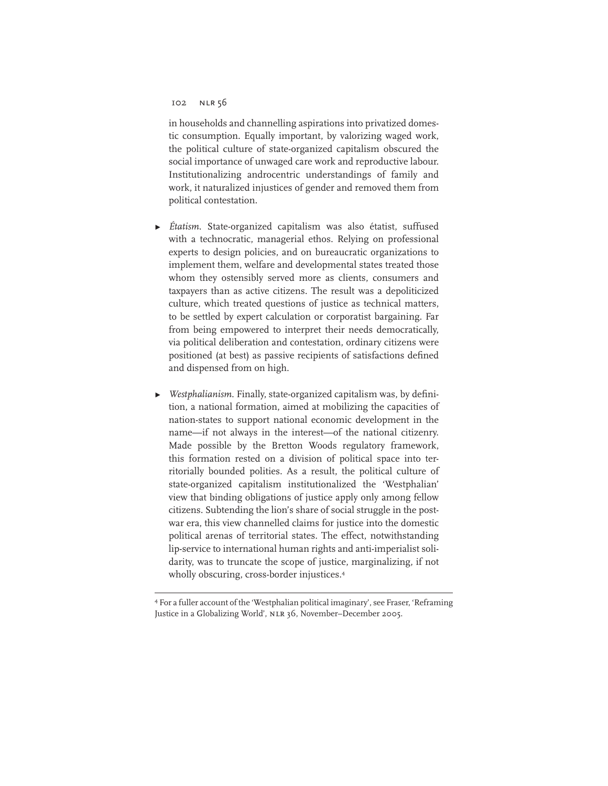**NLR 56**  $TO2$ 

in households and channelling aspirations into privatized domestic consumption. Equally important, by valorizing waged work, the political culture of state-organized capitalism obscured the social importance of unwaged care work and reproductive labour. Institutionalizing androcentric understandings of family and work, it naturalized injustices of gender and removed them from political contestation.

- Étatism. State-organized capitalism was also étatist, suffused with a technocratic, managerial ethos. Relying on professional experts to design policies, and on bureaucratic organizations to implement them, welfare and developmental states treated those whom they ostensibly served more as clients, consumers and taxpayers than as active citizens. The result was a depoliticized culture, which treated questions of justice as technical matters, to be settled by expert calculation or corporatist bargaining. Far from being empowered to interpret their needs democratically, via political deliberation and contestation, ordinary citizens were positioned (at best) as passive recipients of satisfactions defined and dispensed from on high.
- Westphalianism. Finally, state-organized capitalism was, by definition, a national formation, aimed at mobilizing the capacities of nation-states to support national economic development in the name-if not always in the interest-of the national citizenry. Made possible by the Bretton Woods regulatory framework, this formation rested on a division of political space into territorially bounded polities. As a result, the political culture of state-organized capitalism institutionalized the 'Westphalian' view that binding obligations of justice apply only among fellow citizens. Subtending the lion's share of social struggle in the postwar era, this view channelled claims for justice into the domestic political arenas of territorial states. The effect, notwithstanding lip-service to international human rights and anti-imperialist solidarity, was to truncate the scope of justice, marginalizing, if not wholly obscuring, cross-border injustices.<sup>4</sup>

<sup>4</sup> For a fuller account of the 'Westphalian political imaginary', see Fraser, 'Reframing' Justice in a Globalizing World', NLR 36, November-December 2005.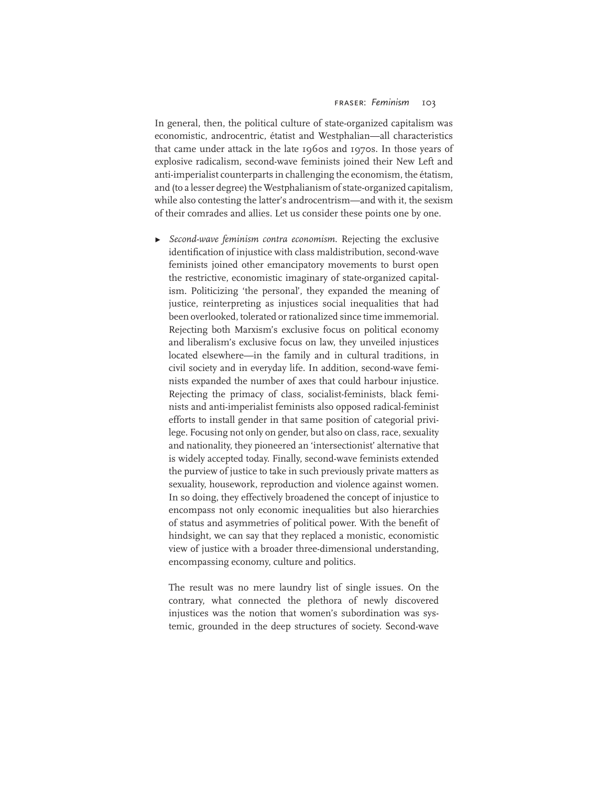#### FRASER: Feminism  $IO3$

In general, then, the political culture of state-organized capitalism was economistic, androcentric, étatist and Westphalian-all characteristics that came under attack in the late 1960s and 1970s. In those years of explosive radicalism, second-wave feminists joined their New Left and anti-imperialist counterparts in challenging the economism, the étatism, and (to a lesser degree) the Westphalianism of state-organized capitalism, while also contesting the latter's androcentrism—and with it, the sexism of their comrades and allies. Let us consider these points one by one.

Second-wave feminism contra economism. Rejecting the exclusive identification of injustice with class maldistribution, second-wave feminists joined other emancipatory movements to burst open the restrictive, economistic imaginary of state-organized capitalism. Politicizing 'the personal', they expanded the meaning of justice, reinterpreting as injustices social inequalities that had been overlooked, tolerated or rationalized since time immemorial. Rejecting both Marxism's exclusive focus on political economy and liberalism's exclusive focus on law, they unveiled injustices located elsewhere-in the family and in cultural traditions, in civil society and in everyday life. In addition, second-wave feminists expanded the number of axes that could harbour injustice. Rejecting the primacy of class, socialist-feminists, black feminists and anti-imperialist feminists also opposed radical-feminist efforts to install gender in that same position of categorial privilege. Focusing not only on gender, but also on class, race, sexuality and nationality, they pioneered an 'intersectionist' alternative that is widely accepted today. Finally, second-wave feminists extended the purview of justice to take in such previously private matters as sexuality, housework, reproduction and violence against women. In so doing, they effectively broadened the concept of injustice to encompass not only economic inequalities but also hierarchies of status and asymmetries of political power. With the benefit of hindsight, we can say that they replaced a monistic, economistic view of justice with a broader three-dimensional understanding, encompassing economy, culture and politics.

The result was no mere laundry list of single issues. On the contrary, what connected the plethora of newly discovered injustices was the notion that women's subordination was systemic, grounded in the deep structures of society. Second-wave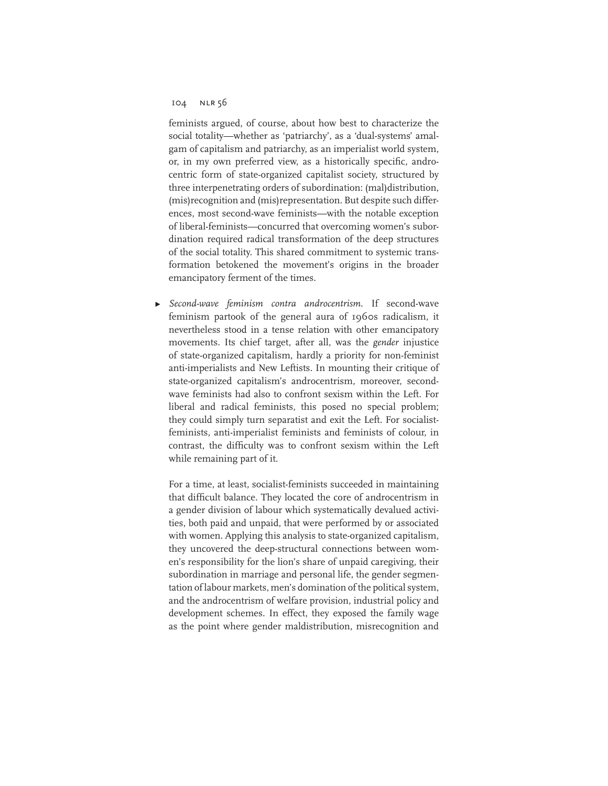**NLR 56 IO4** 

feminists argued, of course, about how best to characterize the social totality-whether as 'patriarchy', as a 'dual-systems' amalgam of capitalism and patriarchy, as an imperialist world system, or, in my own preferred view, as a historically specific, androcentric form of state-organized capitalist society, structured by three interpenetrating orders of subordination: (mal)distribution, (mis) recognition and (mis) representation. But despite such differences, most second-wave feminists-with the notable exception of liberal-feminists—concurred that overcoming women's subordination required radical transformation of the deep structures of the social totality. This shared commitment to systemic transformation betokened the movement's origins in the broader emancipatory ferment of the times.

Second-wave feminism contra androcentrism. If second-wave feminism partook of the general aura of 1960s radicalism, it nevertheless stood in a tense relation with other emancipatory movements. Its chief target, after all, was the gender injustice of state-organized capitalism, hardly a priority for non-feminist anti-imperialists and New Leftists. In mounting their critique of state-organized capitalism's androcentrism, moreover, secondwave feminists had also to confront sexism within the Left. For liberal and radical feminists, this posed no special problem; they could simply turn separatist and exit the Left. For socialistfeminists, anti-imperialist feminists and feminists of colour, in contrast, the difficulty was to confront sexism within the Left while remaining part of it.

For a time, at least, socialist-feminists succeeded in maintaining that difficult balance. They located the core of androcentrism in a gender division of labour which systematically devalued activities, both paid and unpaid, that were performed by or associated with women. Applying this analysis to state-organized capitalism, they uncovered the deep-structural connections between women's responsibility for the lion's share of unpaid caregiving, their subordination in marriage and personal life, the gender segmentation of labour markets, men's domination of the political system, and the androcentrism of welfare provision, industrial policy and development schemes. In effect, they exposed the family wage as the point where gender maldistribution, misrecognition and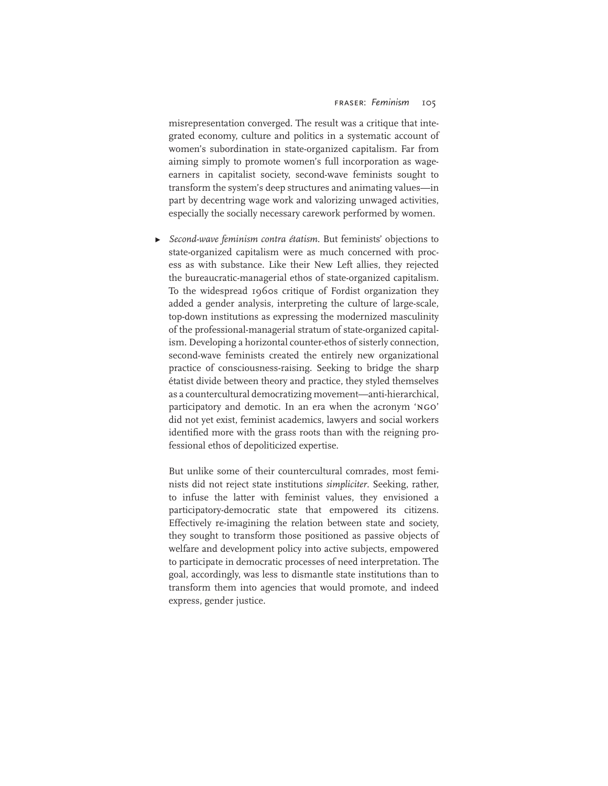#### FRASER: Feminism  $IO5$

misrepresentation converged. The result was a critique that integrated economy, culture and politics in a systematic account of women's subordination in state-organized capitalism. Far from aiming simply to promote women's full incorporation as wageearners in capitalist society, second-wave feminists sought to transform the system's deep structures and animating values-in part by decentring wage work and valorizing unwaged activities, especially the socially necessary carework performed by women.

Second-wave feminism contra étatism. But feminists' objections to state-organized capitalism were as much concerned with process as with substance. Like their New Left allies, they rejected the bureaucratic-managerial ethos of state-organized capitalism. To the widespread 1960s critique of Fordist organization they added a gender analysis, interpreting the culture of large-scale, top-down institutions as expressing the modernized masculinity of the professional-managerial stratum of state-organized capitalism. Developing a horizontal counter-ethos of sisterly connection, second-wave feminists created the entirely new organizational practice of consciousness-raising. Seeking to bridge the sharp étatist divide between theory and practice, they styled themselves as a countercultural democratizing movement-anti-hierarchical, participatory and demotic. In an era when the acronym 'NGO' did not yet exist, feminist academics, lawyers and social workers identified more with the grass roots than with the reigning professional ethos of depoliticized expertise.

But unlike some of their countercultural comrades, most feminists did not reject state institutions *simpliciter*. Seeking, rather, to infuse the latter with feminist values, they envisioned a participatory-democratic state that empowered its citizens. Effectively re-imagining the relation between state and society, they sought to transform those positioned as passive objects of welfare and development policy into active subjects, empowered to participate in democratic processes of need interpretation. The goal, accordingly, was less to dismantle state institutions than to transform them into agencies that would promote, and indeed express, gender justice.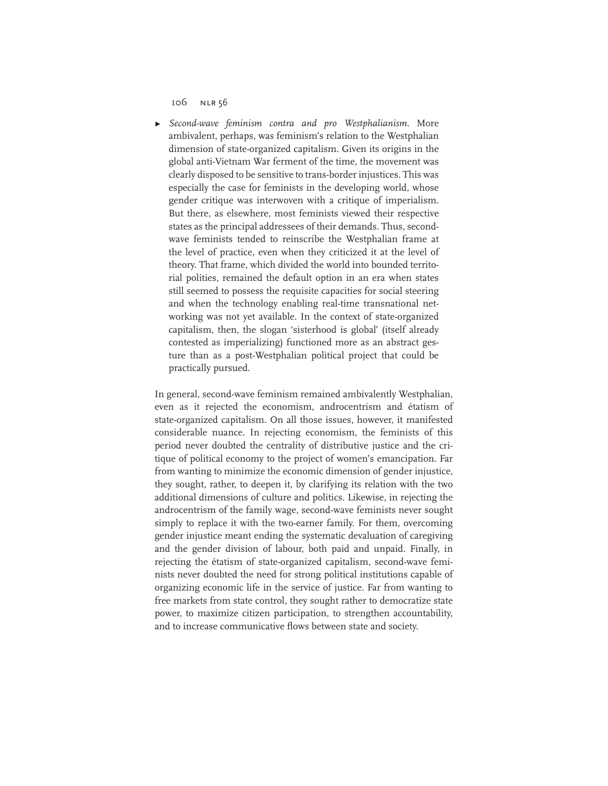106 **NLR 56** 

Second-wave feminism contra and pro Westphalianism. More ambivalent, perhaps, was feminism's relation to the Westphalian dimension of state-organized capitalism. Given its origins in the global anti-Vietnam War ferment of the time, the movement was clearly disposed to be sensitive to trans-border injustices. This was especially the case for feminists in the developing world, whose gender critique was interwoven with a critique of imperialism. But there, as elsewhere, most feminists viewed their respective states as the principal addressees of their demands. Thus, secondwave feminists tended to reinscribe the Westphalian frame at the level of practice, even when they criticized it at the level of theory. That frame, which divided the world into bounded territorial polities, remained the default option in an era when states still seemed to possess the requisite capacities for social steering and when the technology enabling real-time transnational networking was not yet available. In the context of state-organized capitalism, then, the slogan 'sisterhood is global' (itself already contested as imperializing) functioned more as an abstract gesture than as a post-Westphalian political project that could be practically pursued.

In general, second-wave feminism remained ambivalently Westphalian, even as it rejected the economism, androcentrism and étatism of state-organized capitalism. On all those issues, however, it manifested considerable nuance. In rejecting economism, the feminists of this period never doubted the centrality of distributive justice and the critique of political economy to the project of women's emancipation. Far from wanting to minimize the economic dimension of gender injustice, they sought, rather, to deepen it, by clarifying its relation with the two additional dimensions of culture and politics. Likewise, in rejecting the androcentrism of the family wage, second-wave feminists never sought simply to replace it with the two-earner family. For them, overcoming gender injustice meant ending the systematic devaluation of caregiving and the gender division of labour, both paid and unpaid. Finally, in rejecting the étatism of state-organized capitalism, second-wave feminists never doubted the need for strong political institutions capable of organizing economic life in the service of justice. Far from wanting to free markets from state control, they sought rather to democratize state power, to maximize citizen participation, to strengthen accountability, and to increase communicative flows between state and society.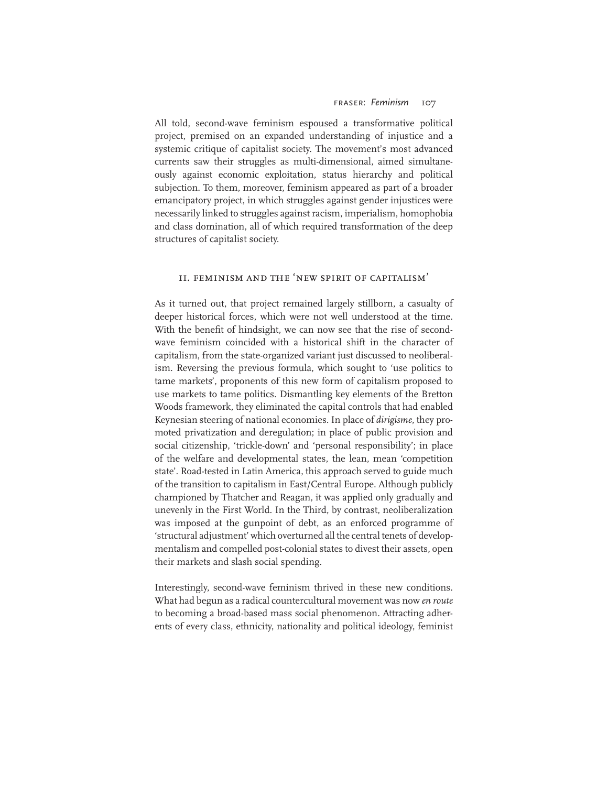#### FRASER: Feminism TO7

All told, second-wave feminism espoused a transformative political project, premised on an expanded understanding of injustice and a systemic critique of capitalist society. The movement's most advanced currents saw their struggles as multi-dimensional, aimed simultaneously against economic exploitation, status hierarchy and political subjection. To them, moreover, feminism appeared as part of a broader emancipatory project, in which struggles against gender injustices were necessarily linked to struggles against racism, imperialism, homophobia and class domination, all of which required transformation of the deep structures of capitalist society.

## II. FEMINISM AND THE 'NEW SPIRIT OF CAPITALISM'

As it turned out, that project remained largely stillborn, a casualty of deeper historical forces, which were not well understood at the time. With the benefit of hindsight, we can now see that the rise of secondwave feminism coincided with a historical shift in the character of capitalism, from the state-organized variant just discussed to neoliberalism. Reversing the previous formula, which sought to 'use politics to tame markets', proponents of this new form of capitalism proposed to use markets to tame politics. Dismantling key elements of the Bretton Woods framework, they eliminated the capital controls that had enabled Keynesian steering of national economies. In place of *dirigisme*, they promoted privatization and deregulation; in place of public provision and social citizenship, 'trickle-down' and 'personal responsibility'; in place of the welfare and developmental states, the lean, mean 'competition state'. Road-tested in Latin America, this approach served to guide much of the transition to capitalism in East/Central Europe. Although publicly championed by Thatcher and Reagan, it was applied only gradually and unevenly in the First World. In the Third, by contrast, neoliberalization was imposed at the gunpoint of debt, as an enforced programme of 'structural adjustment' which overturned all the central tenets of developmentalism and compelled post-colonial states to divest their assets, open their markets and slash social spending.

Interestingly, second-wave feminism thrived in these new conditions. What had begun as a radical countercultural movement was now en route to becoming a broad-based mass social phenomenon. Attracting adherents of every class, ethnicity, nationality and political ideology, feminist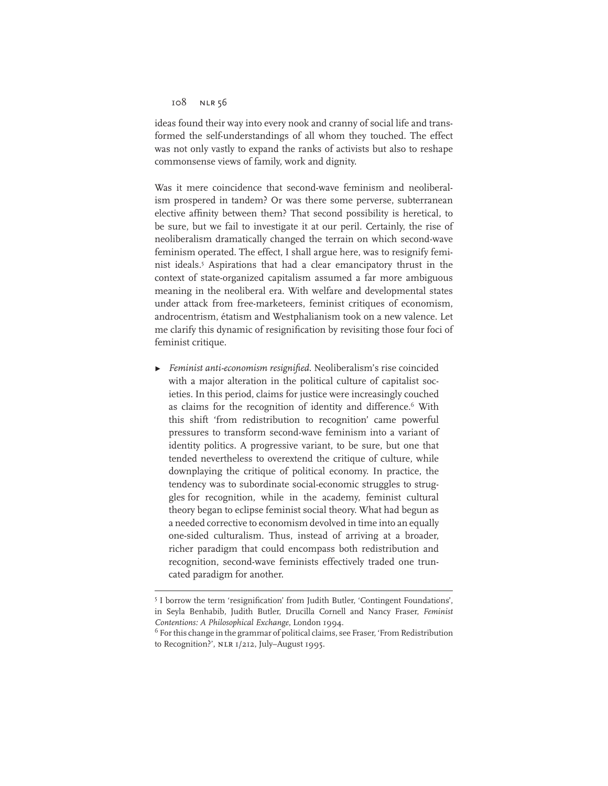**NLR 56** 108

ideas found their way into every nook and cranny of social life and transformed the self-understandings of all whom they touched. The effect was not only vastly to expand the ranks of activists but also to reshape commonsense views of family, work and dignity.

Was it mere coincidence that second-wave feminism and neoliberalism prospered in tandem? Or was there some perverse, subterranean elective affinity between them? That second possibility is heretical, to be sure, but we fail to investigate it at our peril. Certainly, the rise of neoliberalism dramatically changed the terrain on which second-wave feminism operated. The effect, I shall argue here, was to resignify feminist ideals.<sup>5</sup> Aspirations that had a clear emancipatory thrust in the context of state-organized capitalism assumed a far more ambiguous meaning in the neoliberal era. With welfare and developmental states under attack from free-marketeers, feminist critiques of economism, androcentrism, étatism and Westphalianism took on a new valence. Let me clarify this dynamic of resignification by revisiting those four foci of feminist critique.

Feminist anti-economism resignified. Neoliberalism's rise coincided with a major alteration in the political culture of capitalist societies. In this period, claims for justice were increasingly couched as claims for the recognition of identity and difference.<sup>6</sup> With this shift 'from redistribution to recognition' came powerful pressures to transform second-wave feminism into a variant of identity politics. A progressive variant, to be sure, but one that tended nevertheless to overextend the critique of culture, while downplaying the critique of political economy. In practice, the tendency was to subordinate social-economic struggles to struggles for recognition, while in the academy, feminist cultural theory began to eclipse feminist social theory. What had begun as a needed corrective to economism devolved in time into an equally one-sided culturalism. Thus, instead of arriving at a broader, richer paradigm that could encompass both redistribution and recognition, second-wave feminists effectively traded one truncated paradigm for another.

<sup>&</sup>lt;sup>5</sup> I borrow the term 'resignification' from Judith Butler, 'Contingent Foundations', in Seyla Benhabib, Judith Butler, Drucilla Cornell and Nancy Fraser, Feminist Contentions: A Philosophical Exchange, London 1994.

 $^6$  For this change in the grammar of political claims, see Fraser, 'From Redistribution to Recognition?', NLR 1/212, July-August 1995.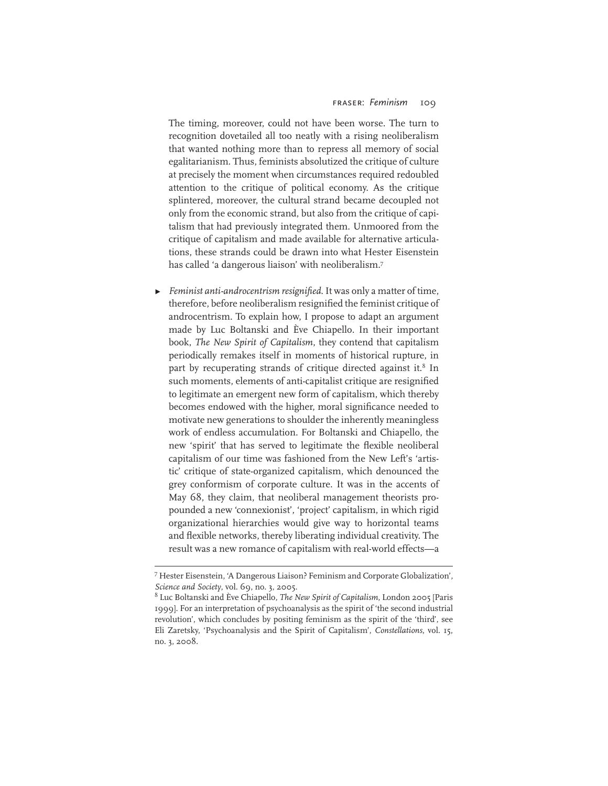The timing, moreover, could not have been worse. The turn to recognition dovetailed all too neatly with a rising neoliberalism that wanted nothing more than to repress all memory of social egalitarianism. Thus, feminists absolutized the critique of culture at precisely the moment when circumstances required redoubled attention to the critique of political economy. As the critique splintered, moreover, the cultural strand became decoupled not only from the economic strand, but also from the critique of capitalism that had previously integrated them. Unmoored from the critique of capitalism and made available for alternative articulations, these strands could be drawn into what Hester Eisenstein has called 'a dangerous liaison' with neoliberalism.7

Feminist anti-androcentrism resignified. It was only a matter of time, therefore, before neoliberalism resignified the feminist critique of androcentrism. To explain how, I propose to adapt an argument made by Luc Boltanski and Ève Chiapello. In their important book, The New Spirit of Capitalism, they contend that capitalism periodically remakes itself in moments of historical rupture, in part by recuperating strands of critique directed against it.<sup>8</sup> In such moments, elements of anti-capitalist critique are resignified to legitimate an emergent new form of capitalism, which thereby becomes endowed with the higher, moral significance needed to motivate new generations to shoulder the inherently meaningless work of endless accumulation. For Boltanski and Chiapello, the new 'spirit' that has served to legitimate the flexible neoliberal capitalism of our time was fashioned from the New Left's 'artistic' critique of state-organized capitalism, which denounced the grey conformism of corporate culture. It was in the accents of May 68, they claim, that neoliberal management theorists propounded a new 'connexionist', 'project' capitalism, in which rigid organizational hierarchies would give way to horizontal teams and flexible networks, thereby liberating individual creativity. The result was a new romance of capitalism with real-world effects-a

<sup>7</sup> Hester Eisenstein, 'A Dangerous Liaison? Feminism and Corporate Globalization', Science and Society, vol. 69, no. 3, 2005.

<sup>&</sup>lt;sup>8</sup> Luc Boltanski and Ève Chiapello, *The New Spirit of Capitalism*, London 2005 [Paris 1999]. For an interpretation of psychoanalysis as the spirit of 'the second industrial revolution', which concludes by positing feminism as the spirit of the 'third', see Eli Zaretsky, 'Psychoanalysis and the Spirit of Capitalism', Constellations, vol. 15, no. 3, 2008.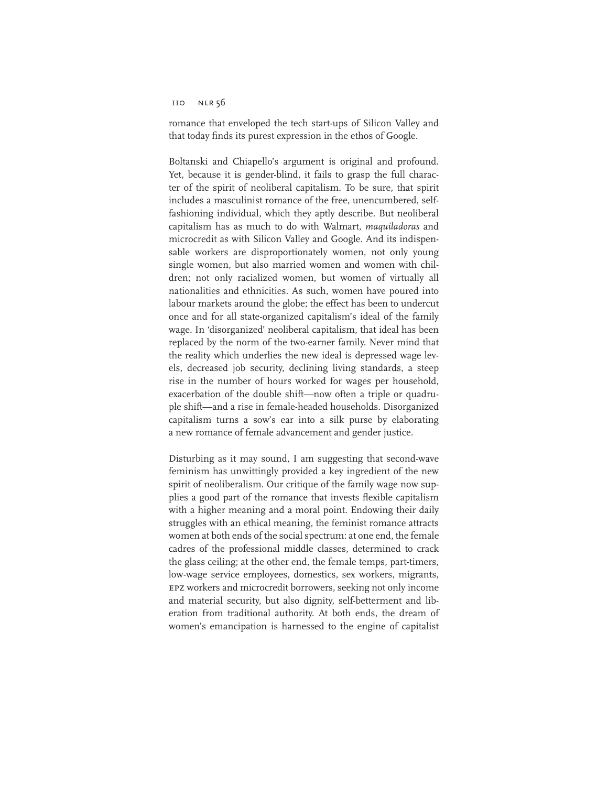**NLR 56 TTO** 

romance that enveloped the tech start-ups of Silicon Valley and that today finds its purest expression in the ethos of Google.

Boltanski and Chiapello's argument is original and profound. Yet, because it is gender-blind, it fails to grasp the full character of the spirit of neoliberal capitalism. To be sure, that spirit includes a masculinist romance of the free, unencumbered, selffashioning individual, which they aptly describe. But neoliberal capitalism has as much to do with Walmart, maquiladoras and microcredit as with Silicon Valley and Google. And its indispensable workers are disproportionately women, not only young single women, but also married women and women with children; not only racialized women, but women of virtually all nationalities and ethnicities. As such, women have poured into labour markets around the globe; the effect has been to undercut once and for all state-organized capitalism's ideal of the family wage. In 'disorganized' neoliberal capitalism, that ideal has been replaced by the norm of the two-earner family. Never mind that the reality which underlies the new ideal is depressed wage levels, decreased job security, declining living standards, a steep rise in the number of hours worked for wages per household, exacerbation of the double shift-now often a triple or quadruple shift—and a rise in female-headed households. Disorganized capitalism turns a sow's ear into a silk purse by elaborating a new romance of female advancement and gender justice.

Disturbing as it may sound, I am suggesting that second-wave feminism has unwittingly provided a key ingredient of the new spirit of neoliberalism. Our critique of the family wage now supplies a good part of the romance that invests flexible capitalism with a higher meaning and a moral point. Endowing their daily struggles with an ethical meaning, the feminist romance attracts women at both ends of the social spectrum: at one end, the female cadres of the professional middle classes, determined to crack the glass ceiling; at the other end, the female temps, part-timers, low-wage service employees, domestics, sex workers, migrants, EPZ workers and microcredit borrowers, seeking not only income and material security, but also dignity, self-betterment and liberation from traditional authority. At both ends, the dream of women's emancipation is harnessed to the engine of capitalist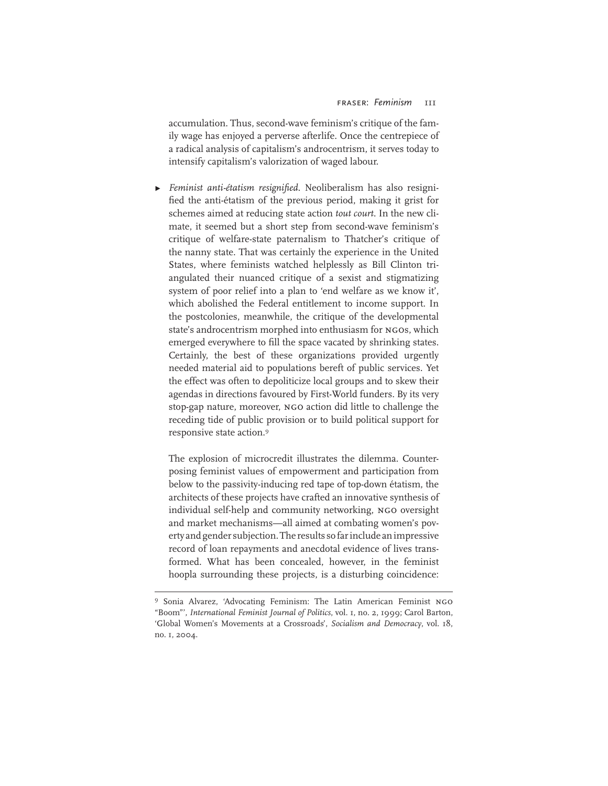accumulation. Thus, second-wave feminism's critique of the family wage has enjoyed a perverse afterlife. Once the centrepiece of a radical analysis of capitalism's androcentrism, it serves today to intensify capitalism's valorization of waged labour.

Feminist anti-étatism resignified. Neoliberalism has also resignified the anti-étatism of the previous period, making it grist for schemes aimed at reducing state action tout court. In the new climate, it seemed but a short step from second-wave feminism's critique of welfare-state paternalism to Thatcher's critique of the nanny state. That was certainly the experience in the United States, where feminists watched helplessly as Bill Clinton triangulated their nuanced critique of a sexist and stigmatizing system of poor relief into a plan to 'end welfare as we know it', which abolished the Federal entitlement to income support. In the postcolonies, meanwhile, the critique of the developmental state's androcentrism morphed into enthusiasm for NGOS, which emerged everywhere to fill the space vacated by shrinking states. Certainly, the best of these organizations provided urgently needed material aid to populations bereft of public services. Yet the effect was often to depoliticize local groups and to skew their agendas in directions favoured by First-World funders. By its very stop-gap nature, moreover, NGO action did little to challenge the receding tide of public provision or to build political support for responsive state action.9

The explosion of microcredit illustrates the dilemma. Counterposing feminist values of empowerment and participation from below to the passivity-inducing red tape of top-down étatism, the architects of these projects have crafted an innovative synthesis of individual self-help and community networking, NGO oversight and market mechanisms-all aimed at combating women's poverty and gender subjection. The results so far include an impressive record of loan repayments and anecdotal evidence of lives transformed. What has been concealed, however, in the feminist hoopla surrounding these projects, is a disturbing coincidence:

<sup>&</sup>lt;sup>9</sup> Sonia Alvarez, 'Advocating Feminism: The Latin American Feminist NGO "Boom"', International Feminist Journal of Politics, vol. I, no. 2, 1999; Carol Barton, 'Global Women's Movements at a Crossroads', Socialism and Democracy, vol. 18, no. 1, 2004.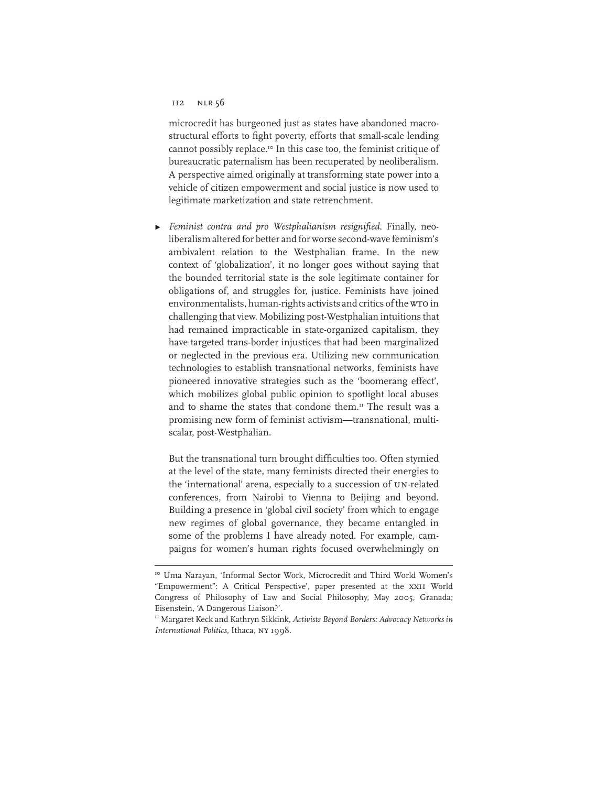**NLR 56** TT<sub>2</sub>

microcredit has burgeoned just as states have abandoned macrostructural efforts to fight poverty, efforts that small-scale lending cannot possibly replace.<sup>10</sup> In this case too, the feminist critique of bureaucratic paternalism has been recuperated by neoliberalism. A perspective aimed originally at transforming state power into a vehicle of citizen empowerment and social justice is now used to legitimate marketization and state retrenchment.

Feminist contra and pro Westphalianism resignified. Finally, neoliberalism altered for better and for worse second-wave feminism's ambivalent relation to the Westphalian frame. In the new context of 'globalization', it no longer goes without saying that the bounded territorial state is the sole legitimate container for obligations of, and struggles for, justice. Feminists have joined environmentalists, human-rights activists and critics of the wro in challenging that view. Mobilizing post-Westphalian intuitions that had remained impracticable in state-organized capitalism, they have targeted trans-border injustices that had been marginalized or neglected in the previous era. Utilizing new communication technologies to establish transnational networks, feminists have pioneered innovative strategies such as the 'boomerang effect', which mobilizes global public opinion to spotlight local abuses and to shame the states that condone them." The result was a promising new form of feminist activism-transnational, multiscalar, post-Westphalian.

But the transnational turn brought difficulties too. Often stymied at the level of the state, many feminists directed their energies to the 'international' arena, especially to a succession of UN-related conferences, from Nairobi to Vienna to Beijing and beyond. Building a presence in 'global civil society' from which to engage new regimes of global governance, they became entangled in some of the problems I have already noted. For example, campaigns for women's human rights focused overwhelmingly on

<sup>&</sup>lt;sup>10</sup> Uma Narayan, 'Informal Sector Work, Microcredit and Third World Women's "Empowerment": A Critical Perspective', paper presented at the XXII World Congress of Philosophy of Law and Social Philosophy, May 2005, Granada; Eisenstein, 'A Dangerous Liaison?'.

<sup>&</sup>lt;sup>11</sup> Margaret Keck and Kathryn Sikkink, Activists Beyond Borders: Advocacy Networks in International Politics, Ithaca, NY 1998.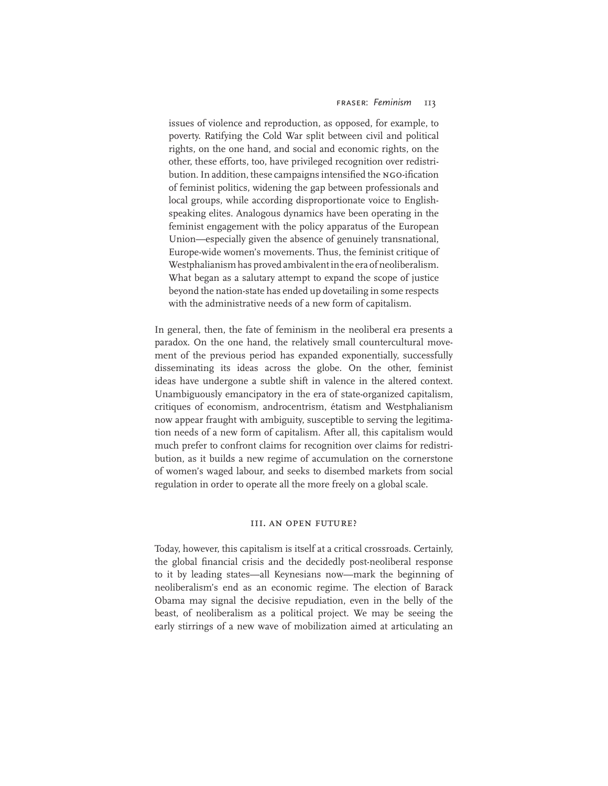#### FRASER: Feminism II3

issues of violence and reproduction, as opposed, for example, to poverty. Ratifying the Cold War split between civil and political rights, on the one hand, and social and economic rights, on the other, these efforts, too, have privileged recognition over redistribution. In addition, these campaigns intensified the NGO-ification of feminist politics, widening the gap between professionals and local groups, while according disproportionate voice to Englishspeaking elites. Analogous dynamics have been operating in the feminist engagement with the policy apparatus of the European Union—especially given the absence of genuinely transnational, Europe-wide women's movements. Thus, the feminist critique of Westphalianism has proved ambivalent in the era of neoliberalism. What began as a salutary attempt to expand the scope of justice beyond the nation-state has ended up dovetailing in some respects with the administrative needs of a new form of capitalism.

In general, then, the fate of feminism in the neoliberal era presents a paradox. On the one hand, the relatively small countercultural movement of the previous period has expanded exponentially, successfully disseminating its ideas across the globe. On the other, feminist ideas have undergone a subtle shift in valence in the altered context. Unambiguously emancipatory in the era of state-organized capitalism, critiques of economism, androcentrism, étatism and Westphalianism now appear fraught with ambiguity, susceptible to serving the legitimation needs of a new form of capitalism. After all, this capitalism would much prefer to confront claims for recognition over claims for redistribution, as it builds a new regime of accumulation on the cornerstone of women's waged labour, and seeks to disembed markets from social regulation in order to operate all the more freely on a global scale.

## **III. AN OPEN FUTURE?**

Today, however, this capitalism is itself at a critical crossroads. Certainly, the global financial crisis and the decidedly post-neoliberal response to it by leading states—all Keynesians now—mark the beginning of neoliberalism's end as an economic regime. The election of Barack Obama may signal the decisive repudiation, even in the belly of the beast, of neoliberalism as a political project. We may be seeing the early stirrings of a new wave of mobilization aimed at articulating an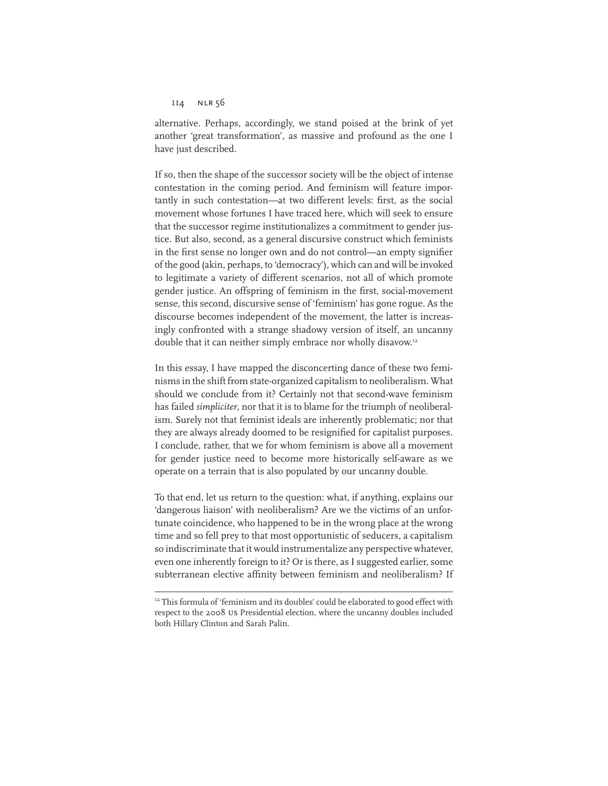**NLR 56**  $II4$ 

alternative. Perhaps, accordingly, we stand poised at the brink of yet another 'great transformation', as massive and profound as the one I have just described.

If so, then the shape of the successor society will be the object of intense contestation in the coming period. And feminism will feature importantly in such contestation-at two different levels: first, as the social movement whose fortunes I have traced here, which will seek to ensure that the successor regime institutionalizes a commitment to gender justice. But also, second, as a general discursive construct which feminists in the first sense no longer own and do not control—an empty signifier of the good (akin, perhaps, to 'democracy'), which can and will be invoked to legitimate a variety of different scenarios, not all of which promote gender justice. An offspring of feminism in the first, social-movement sense, this second, discursive sense of 'feminism' has gone rogue. As the discourse becomes independent of the movement, the latter is increasingly confronted with a strange shadowy version of itself, an uncanny double that it can neither simply embrace nor wholly disavow.<sup>12</sup>

In this essay, I have mapped the disconcerting dance of these two feminisms in the shift from state-organized capitalism to neoliberalism. What should we conclude from it? Certainly not that second-wave feminism has failed simpliciter, nor that it is to blame for the triumph of neoliberalism. Surely not that feminist ideals are inherently problematic; nor that they are always already doomed to be resignified for capitalist purposes. I conclude, rather, that we for whom feminism is above all a movement for gender justice need to become more historically self-aware as we operate on a terrain that is also populated by our uncanny double.

To that end, let us return to the question: what, if anything, explains our 'dangerous liaison' with neoliberalism? Are we the victims of an unfortunate coincidence, who happened to be in the wrong place at the wrong time and so fell prey to that most opportunistic of seducers, a capitalism so indiscriminate that it would instrumentalize any perspective whatever, even one inherently foreign to it? Or is there, as I suggested earlier, some subterranean elective affinity between feminism and neoliberalism? If

<sup>&</sup>lt;sup>12</sup> This formula of 'feminism and its doubles' could be elaborated to good effect with respect to the 2008 US Presidential election, where the uncanny doubles included both Hillary Clinton and Sarah Palin.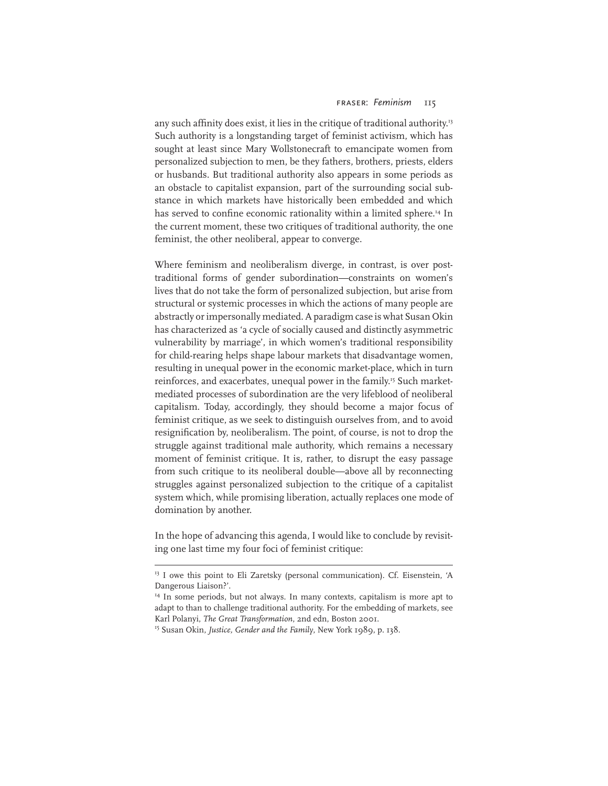#### FRASER: Feminism **II5**

any such affinity does exist, it lies in the critique of traditional authority.<sup>13</sup> Such authority is a longstanding target of feminist activism, which has sought at least since Mary Wollstonecraft to emancipate women from personalized subjection to men, be they fathers, brothers, priests, elders or husbands. But traditional authority also appears in some periods as an obstacle to capitalist expansion, part of the surrounding social substance in which markets have historically been embedded and which has served to confine economic rationality within a limited sphere.<sup>14</sup> In the current moment, these two critiques of traditional authority, the one feminist, the other neoliberal, appear to converge.

Where feminism and neoliberalism diverge, in contrast, is over posttraditional forms of gender subordination-constraints on women's lives that do not take the form of personalized subjection, but arise from structural or systemic processes in which the actions of many people are abstractly or impersonally mediated. A paradigm case is what Susan Okin has characterized as 'a cycle of socially caused and distinctly asymmetric vulnerability by marriage', in which women's traditional responsibility for child-rearing helps shape labour markets that disadvantage women, resulting in unequal power in the economic market-place, which in turn reinforces, and exacerbates, unequal power in the family.<sup>15</sup> Such marketmediated processes of subordination are the very lifeblood of neoliberal capitalism. Today, accordingly, they should become a major focus of feminist critique, as we seek to distinguish ourselves from, and to avoid resignification by, neoliberalism. The point, of course, is not to drop the struggle against traditional male authority, which remains a necessary moment of feminist critique. It is, rather, to disrupt the easy passage from such critique to its neoliberal double—above all by reconnecting struggles against personalized subjection to the critique of a capitalist system which, while promising liberation, actually replaces one mode of domination by another.

In the hope of advancing this agenda, I would like to conclude by revisiting one last time my four foci of feminist critique:

<sup>&</sup>lt;sup>13</sup> I owe this point to Eli Zaretsky (personal communication). Cf. Eisenstein, 'A Dangerous Liaison?'.

<sup>&</sup>lt;sup>14</sup> In some periods, but not always. In many contexts, capitalism is more apt to adapt to than to challenge traditional authority. For the embedding of markets, see Karl Polanyi, The Great Transformation, 2nd edn, Boston 2001.

<sup>&</sup>lt;sup>15</sup> Susan Okin, Justice, Gender and the Family, New York 1989, p. 138.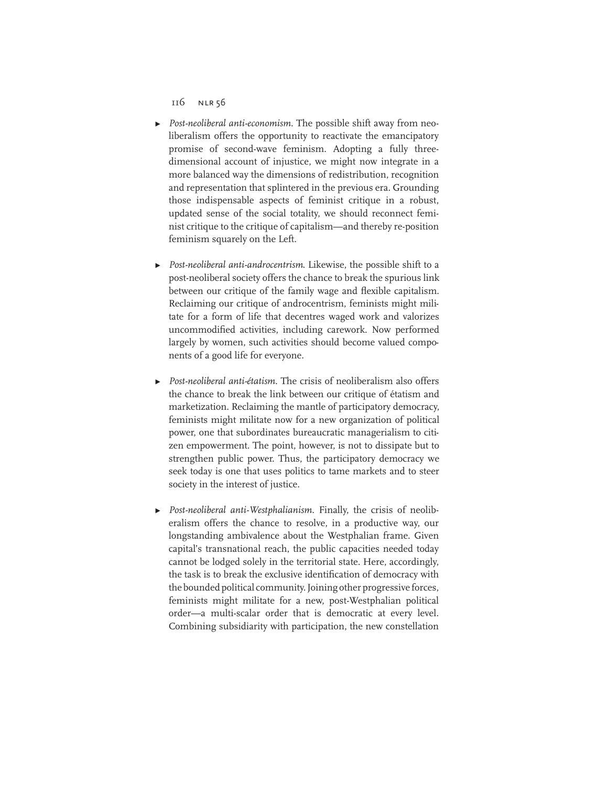116 **NLR 56** 

- Post-neoliberal anti-economism. The possible shift away from neo- $\blacktriangleright$ liberalism offers the opportunity to reactivate the emancipatory promise of second-wave feminism. Adopting a fully threedimensional account of injustice, we might now integrate in a more balanced way the dimensions of redistribution, recognition and representation that splintered in the previous era. Grounding those indispensable aspects of feminist critique in a robust, updated sense of the social totality, we should reconnect feminist critique to the critique of capitalism—and thereby re-position feminism squarely on the Left.
- Post-neoliberal anti-androcentrism. Likewise, the possible shift to a post-neoliberal society offers the chance to break the spurious link between our critique of the family wage and flexible capitalism. Reclaiming our critique of androcentrism, feminists might militate for a form of life that decentres waged work and valorizes uncommodified activities, including carework. Now performed largely by women, such activities should become valued components of a good life for everyone.
- $\triangleright$  Post-neoliberal anti-étatism. The crisis of neoliberalism also offers the chance to break the link between our critique of étatism and marketization. Reclaiming the mantle of participatory democracy, feminists might militate now for a new organization of political power, one that subordinates bureaucratic managerialism to citizen empowerment. The point, however, is not to dissipate but to strengthen public power. Thus, the participatory democracy we seek today is one that uses politics to tame markets and to steer society in the interest of justice.
- Post-neoliberal anti-Westphalianism. Finally, the crisis of neoliberalism offers the chance to resolve, in a productive way, our longstanding ambivalence about the Westphalian frame. Given capital's transnational reach, the public capacities needed today cannot be lodged solely in the territorial state. Here, accordingly, the task is to break the exclusive identification of democracy with the bounded political community. Joining other progressive forces, feminists might militate for a new, post-Westphalian political order-a multi-scalar order that is democratic at every level. Combining subsidiarity with participation, the new constellation